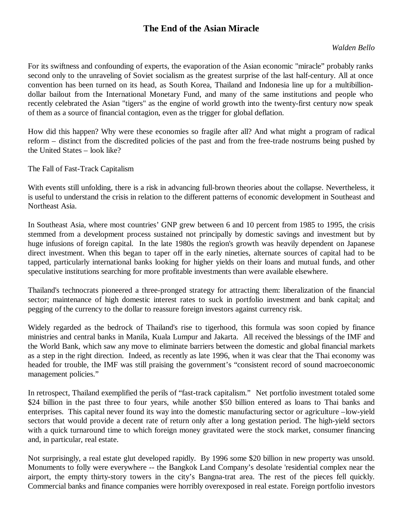## **The End of the Asian Miracle**

## *Walden Bello*

For its swiftness and confounding of experts, the evaporation of the Asian economic "miracle" probably ranks second only to the unraveling of Soviet socialism as the greatest surprise of the last half-century. All at once convention has been turned on its head, as South Korea, Thailand and Indonesia line up for a multibilliondollar bailout from the International Monetary Fund, and many of the same institutions and people who recently celebrated the Asian "tigers" as the engine of world growth into the twenty-first century now speak of them as a source of financial contagion, even as the trigger for global deflation.

How did this happen? Why were these economies so fragile after all? And what might a program of radical reform – distinct from the discredited policies of the past and from the free-trade nostrums being pushed by the United States – look like?

The Fall of Fast-Track Capitalism

With events still unfolding, there is a risk in advancing full-brown theories about the collapse. Nevertheless, it is useful to understand the crisis in relation to the different patterns of economic development in Southeast and Northeast Asia.

In Southeast Asia, where most countries' GNP grew between 6 and 10 percent from 1985 to 1995, the crisis stemmed from a development process sustained not principally by domestic savings and investment but by huge infusions of foreign capital. In the late 1980s the region's growth was heavily dependent on Japanese direct investment. When this began to taper off in the early nineties, alternate sources of capital had to be tapped, particularly international banks looking for higher yields on their loans and mutual funds, and other speculative institutions searching for more profitable investments than were available elsewhere.

Thailand's technocrats pioneered a three-pronged strategy for attracting them: liberalization of the financial sector; maintenance of high domestic interest rates to suck in portfolio investment and bank capital; and pegging of the currency to the dollar to reassure foreign investors against currency risk.

Widely regarded as the bedrock of Thailand's rise to tigerhood, this formula was soon copied by finance ministries and central banks in Manila, Kuala Lumpur and Jakarta. All received the blessings of the IMF and the World Bank, which saw any move to eliminate barriers between the domestic and global financial markets as a step in the right direction. Indeed, as recently as late 1996, when it was clear that the Thai economy was headed for trouble, the IMF was still praising the government's "consistent record of sound macroeconomic management policies."

In retrospect, Thailand exemplified the perils of "fast-track capitalism." Net portfolio investment totaled some \$24 billion in the past three to four years, while another \$50 billion entered as loans to Thai banks and enterprises. This capital never found its way into the domestic manufacturing sector or agriculture –low-yield sectors that would provide a decent rate of return only after a long gestation period. The high-yield sectors with a quick turnaround time to which foreign money gravitated were the stock market, consumer financing and, in particular, real estate.

Not surprisingly, a real estate glut developed rapidly. By 1996 some \$20 billion in new property was unsold. Monuments to folly were everywhere -- the Bangkok Land Company's desolate 'residential complex near the airport, the empty thirty-story towers in the city's Bangna-trat area. The rest of the pieces fell quickly. Commercial banks and finance companies were horribly overexposed in real estate. Foreign portfolio investors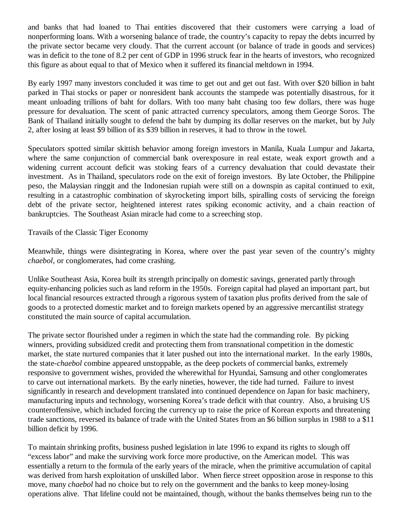and banks that had loaned to Thai entities discovered that their customers were carrying a load of nonperforming loans. With a worsening balance of trade, the country's capacity to repay the debts incurred by the private sector became very cloudy. That the current account (or balance of trade in goods and services) was in deficit to the tone of 8.2 per cent of GDP in 1996 struck fear in the hearts of investors, who recognized this figure as about equal to that of Mexico when it suffered its financial meltdown in 1994.

By early 1997 many investors concluded it was time to get out and get out fast. With over \$20 billion in baht parked in Thai stocks or paper or nonresident bank accounts the stampede was potentially disastrous, for it meant unloading trillions of baht for dollars. With too many baht chasing too few dollars, there was huge pressure for devaluation. The scent of panic attracted currency speculators, among them George Soros. The Bank of Thailand initially sought to defend the baht by dumping its dollar reserves on the market, but by July 2, after losing at least \$9 billion of its \$39 billion in reserves, it had to throw in the towel.

Speculators spotted similar skittish behavior among foreign investors in Manila, Kuala Lumpur and Jakarta, where the same conjunction of commercial bank overexposure in real estate, weak export growth and a widening current account deficit was stoking fears of a currency devaluation that could devastate their investment. As in Thailand, speculators rode on the exit of foreign investors. By late October, the Philippine peso, the Malaysian ringgit and the Indonesian rupiah were still on a downspin as capital continued to exit, resulting in a catastrophic combination of skyrocketing import bills, spiralling costs of servicing the foreign debt of the private sector, heightened interest rates spiking economic activity, and a chain reaction of bankruptcies. The Southeast Asian miracle had come to a screeching stop.

Travails of the Classic Tiger Economy

Meanwhile, things were disintegrating in Korea, where over the past year seven of the country's mighty *chaebol*, or conglomerates, had come crashing.

Unlike Southeast Asia, Korea built its strength principally on domestic savings, generated partly through equity-enhancing policies such as land reform in the 1950s. Foreign capital had played an important part, but local financial resources extracted through a rigorous system of taxation plus profits derived from the sale of goods to a protected domestic market and to foreign markets opened by an aggressive mercantilist strategy constituted the main source of capital accumulation.

The private sector flourished under a regimen in which the state had the commanding role. By picking winners, providing subsidized credit and protecting them from transnational competition in the domestic market, the state nurtured companies that it later pushed out into the international market. In the early 1980s, the state-*chaebol* combine appeared unstoppable, as the deep pockets of commercial banks, extremely responsive to government wishes, provided the wherewithal for Hyundai, Samsung and other conglomerates to carve out international markets. By the early nineties, however, the tide had turned. Failure to invest significantly in research and development translated into continued dependence on Japan for basic machinery, manufacturing inputs and technology, worsening Korea's trade deficit with that country. Also, a bruising US counteroffensive, which included forcing the currency up to raise the price of Korean exports and threatening trade sanctions, reversed its balance of trade with the United States from an \$6 billion surplus in 1988 to a \$11 billion deficit by 1996.

To maintain shrinking profits, business pushed legislation in late 1996 to expand its rights to slough off "excess labor" and make the surviving work force more productive, on the American model. This was essentially a return to the formula of the early years of the miracle, when the primitive accumulation of capital was derived from harsh exploitation of unskilled labor. When fierce street opposition arose in response to this move, many *chaebol* had no choice but to rely on the government and the banks to keep money-losing operations alive. That lifeline could not be maintained, though, without the banks themselves being run to the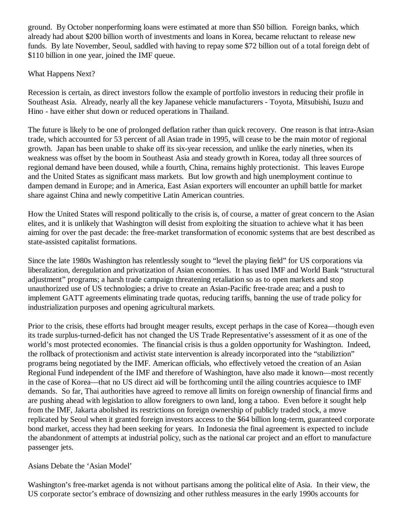ground. By October nonperforming loans were estimated at more than \$50 billion. Foreign banks, which already had about \$200 billion worth of investments and loans in Korea, became reluctant to release new funds. By late November, Seoul, saddled with having to repay some \$72 billion out of a total foreign debt of \$110 billion in one year, joined the IMF queue.

## What Happens Next?

Recession is certain, as direct investors follow the example of portfolio investors in reducing their profile in Southeast Asia. Already, nearly all the key Japanese vehicle manufacturers - Toyota, Mitsubishi, Isuzu and Hino - have either shut down or reduced operations in Thailand.

The future is likely to be one of prolonged deflation rather than quick recovery. One reason is that intra-Asian trade, which accounted for 53 percent of all Asian trade in 1995, will cease to be the main motor of regional growth. Japan has been unable to shake off its six-year recession, and unlike the early nineties, when its weakness was offset by the boom in Southeast Asia and steady growth in Korea, today all three sources of regional demand have been doused, while a fourth, China, remains highly protectionist. This leaves Europe and the United States as significant mass markets. But low growth and high unemployment continue to dampen demand in Europe; and in America, East Asian exporters will encounter an uphill battle for market share against China and newly competitive Latin American countries.

How the United States will respond politically to the crisis is, of course, a matter of great concern to the Asian elites, and it is unlikely that Washington will desist from exploiting the situation to achieve what it has been aiming for over the past decade: the free-market transformation of economic systems that are best described as state-assisted capitalist formations.

Since the late 1980s Washington has relentlessly sought to "level the playing field" for US corporations via liberalization, deregulation and privatization of Asian economies. It has used IMF and World Bank "structural adjustment" programs; a harsh trade campaign threatening retaliation so as to open markets and stop unauthorized use of US technologies; a drive to create an Asian-Pacific free-trade area; and a push to implement GATT agreements eliminating trade quotas, reducing tariffs, banning the use of trade policy for industrialization purposes and opening agricultural markets.

Prior to the crisis, these efforts had brought meager results, except perhaps in the case of Korea— though even its trade surplus-turned-deficit has not changed the US Trade Representative's assessment of it as one of the world's most protected economies. The financial crisis is thus a golden opportunity for Washington. Indeed, the rollback of protectionism and activist state intervention is already incorporated into the "stabiliztion" programs being negotiated by the IMF. American officials, who effectively vetoed the creation of an Asian Regional Fund independent of the IMF and therefore of Washington, have also made it known— most recently in the case of Korea— that no US direct aid will be forthcoming until the ailing countries acquiesce to IMF demands. So far, Thai authorities have agreed to remove all limits on foreign ownership of financial firms and are pushing ahead with legislation to allow foreigners to own land, long a taboo. Even before it sought help from the IMF, Jakarta abolished its restrictions on foreign ownership of publicly traded stock, a move replicated by Seoul when it granted foreign investors access to the \$64 billion long-term, guaranteed corporate bond market, access they had been seeking for years. In Indonesia the final agreement is expected to include the abandonment of attempts at industrial policy, such as the national car project and an effort to manufacture passenger jets.

## Asians Debate the 'Asian Model'

Washington's free-market agenda is not without partisans among the political elite of Asia. In their view, the US corporate sector's embrace of downsizing and other ruthless measures in the early 1990s accounts for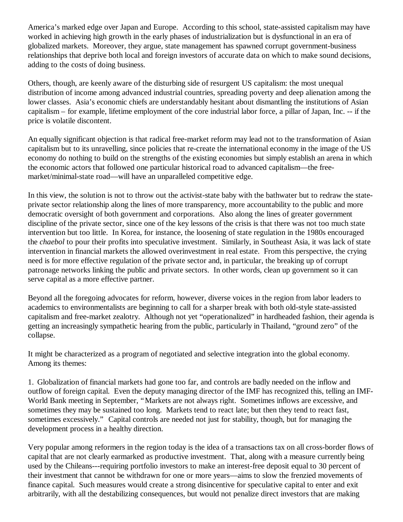America's marked edge over Japan and Europe. According to this school, state-assisted capitalism may have worked in achieving high growth in the early phases of industrialization but is dysfunctional in an era of globalized markets. Moreover, they argue, state management has spawned corrupt government-business relationships that deprive both local and foreign investors of accurate data on which to make sound decisions, adding to the costs of doing business.

Others, though, are keenly aware of the disturbing side of resurgent US capitalism: the most unequal distribution of income among advanced industrial countries, spreading poverty and deep alienation among the lower classes. Asia's economic chiefs are understandably hesitant about dismantling the institutions of Asian capitalism – for example, lifetime employment of the core industrial labor force, a pillar of Japan, Inc. -- if the price is volatile discontent.

An equally significant objection is that radical free-market reform may lead not to the transformation of Asian capitalism but to its unravelling, since policies that re-create the international economy in the image of the US economy do nothing to build on the strengths of the existing economies but simply establish an arena in which the economic actors that followed one particular historical road to advanced capitalism— the freemarket/minimal-state road— will have an unparalleled competitive edge.

In this view, the solution is not to throw out the activist-state baby with the bathwater but to redraw the stateprivate sector relationship along the lines of more transparency, more accountability to the public and more democratic oversight of both government and corporations. Also along the lines of greater government discipline of the private sector, since one of the key lessons of the crisis is that there was not too much state intervention but too little. In Korea, for instance, the loosening of state regulation in the 1980s encouraged the *chaebol* to pour their profits into speculative investment. Similarly, in Southeast Asia, it was lack of state intervention in financial markets the allowed overinvestment in real estate. From this perspective, the crying need is for more effective regulation of the private sector and, in particular, the breaking up of corrupt patronage networks linking the public and private sectors. In other words, clean up government so it can serve capital as a more effective partner.

Beyond all the foregoing advocates for reform, however, diverse voices in the region from labor leaders to academics to environmentalists are beginning to call for a sharper break with both old-style state-assisted capitalism and free-market zealotry. Although not yet "operationalized" in hardheaded fashion, their agenda is getting an increasingly sympathetic hearing from the public, particularly in Thailand, "ground zero" of the collapse.

It might be characterized as a program of negotiated and selective integration into the global economy. Among its themes:

1. Globalization of financial markets had gone too far, and controls are badly needed on the inflow and outflow of foreign capital. Even the deputy managing director of the IMF has recognized this, telling an IMF-World Bank meeting in September, "Markets are not always right. Sometimes inflows are excessive, and sometimes they may be sustained too long. Markets tend to react late; but then they tend to react fast, sometimes excessively." Capital controls are needed not just for stability, though, but for managing the development process in a healthy direction.

Very popular among reformers in the region today is the idea of a transactions tax on all cross-border flows of capital that are not clearly earmarked as productive investment. That, along with a measure currently being used by the Chileans---requiring portfolio investors to make an interest-free deposit equal to 30 percent of their investment that cannot be withdrawn for one or more years— aims to slow the frenzied movements of finance capital. Such measures would create a strong disincentive for speculative capital to enter and exit arbitrarily, with all the destabilizing consequences, but would not penalize direct investors that are making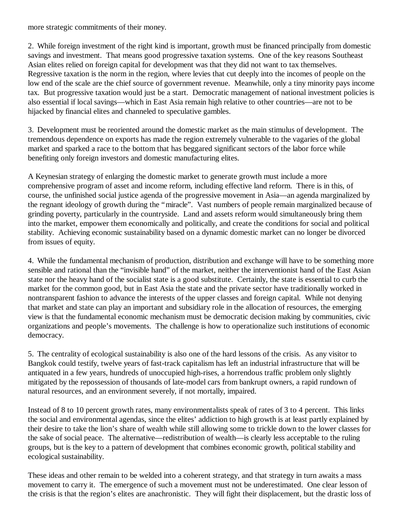more strategic commitments of their money.

2. While foreign investment of the right kind is important, growth must be financed principally from domestic savings and investment. That means good progressive taxation systems. One of the key reasons Southeast Asian elites relied on foreign capital for development was that they did not want to tax themselves. Regressive taxation is the norm in the region, where levies that cut deeply into the incomes of people on the low end of the scale are the chief source of government revenue. Meanwhile, only a tiny minority pays income tax. But progressive taxation would just be a start. Democratic management of national investment policies is also essential if local savings— which in East Asia remain high relative to other countries— are not to be hijacked by financial elites and channeled to speculative gambles.

3. Development must be reoriented around the domestic market as the main stimulus of development. The tremendous dependence on exports has made the region extremely vulnerable to the vagaries of the global market and sparked a race to the bottom that has beggared significant sectors of the labor force while benefiting only foreign investors and domestic manufacturing elites.

A Keynesian strategy of enlarging the domestic market to generate growth must include a more comprehensive program of asset and income reform, including effective land reform. There is in this, of course, the unfinished social justice agenda of the progressive movement in Asia— an agenda marginalized by the regnant ideology of growth during the "miracle". Vast numbers of people remain marginalized because of grinding poverty, particularly in the countryside. Land and assets reform would simultaneously bring them into the market, empower them economically and politically, and create the conditions for social and political stability. Achieving economic sustainability based on a dynamic domestic market can no longer be divorced from issues of equity.

4. While the fundamental mechanism of production, distribution and exchange will have to be something more sensible and rational than the "invisible hand" of the market, neither the interventionist hand of the East Asian state nor the heavy hand of the socialist state is a good substitute. Certainly, the state is essential to curb the market for the common good, but in East Asia the state and the private sector have traditionally worked in nontransparent fashion to advance the interests of the upper classes and foreign capital. While not denying that market and state can play an important and subsidiary role in the allocation of resources, the emerging view is that the fundamental economic mechanism must be democratic decision making by communities, civic organizations and people's movements. The challenge is how to operationalize such institutions of economic democracy.

5. The centrality of ecological sustainability is also one of the hard lessons of the crisis. As any visitor to Bangkok could testify, twelve years of fast-track capitalism has left an industrial infrastructure that will be antiquated in a few years, hundreds of unoccupied high-rises, a horrendous traffic problem only slightly mitigated by the repossession of thousands of late-model cars from bankrupt owners, a rapid rundown of natural resources, and an environment severely, if not mortally, impaired.

Instead of 8 to 10 percent growth rates, many environmentalists speak of rates of 3 to 4 percent. This links the social and environmental agendas, since the elites' addiction to high growth is at least partly explained by their desire to take the lion's share of wealth while still allowing some to trickle down to the lower classes for the sake of social peace. The alternative— redistribution of wealth— is clearly less acceptable to the ruling groups, but is the key to a pattern of development that combines economic growth, political stability and ecological sustainability.

These ideas and other remain to be welded into a coherent strategy, and that strategy in turn awaits a mass movement to carry it. The emergence of such a movement must not be underestimated. One clear lesson of the crisis is that the region's elites are anachronistic. They will fight their displacement, but the drastic loss of